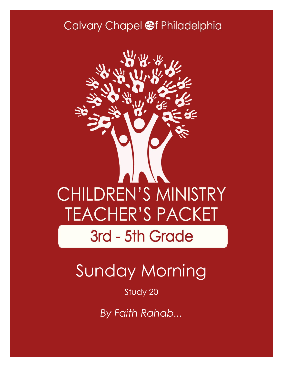### Calvary Chapel @f Philadelphia



# Sunday Morning

#### Study 20

*By Faith Rahab...*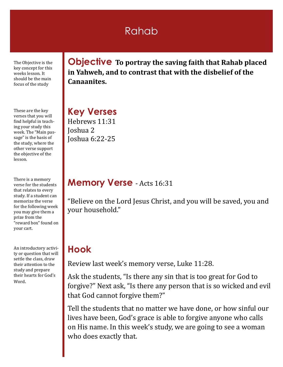### Rahab

The Objective is the key concept for this weeks lesson. It should be the main focus of the study

These are the key verses that you will find helpful in teaching your study this week. The "Main passage" is the basis of the study, where the other verse support the objective of the lesson.

There is a memory verse for the students that relates to every study. If a student can memorize the verse for the following week you may give them a prize from the "reward box" found on your cart.

An introductory activity or question that will settle the class, draw their attention to the study and prepare their hearts for God's Word.

**Objective To portray the saving faith that Rahab placed in Yahweh, and to contrast that with the disbelief of the Canaanites.**

**Key Verses** Hebrews 11:31 Joshua 2 Joshua 6:22-25

#### **Memory Verse** - Acts 16:31

"Believe on the Lord Jesus Christ, and you will be saved, you and your household."

#### **Hook**

Review last week's memory verse, Luke 11:28.

Ask the students, "Is there any sin that is too great for God to forgive?" Next ask, "Is there any person that is so wicked and evil that God cannot forgive them?"

Tell the students that no matter we have done, or how sinful our lives have been, God's grace is able to forgive anyone who calls on His name. In this week's study, we are going to see a woman who does exactly that.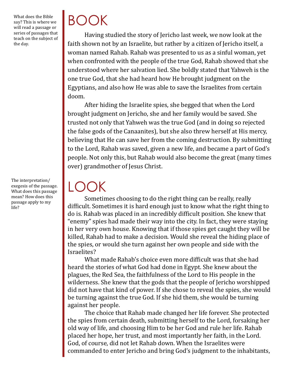What does the Bible say? This is where we will read a passage or series of passages that teach on the subject of the day.

The interpretation/ exegesis of the passage. What does this passage mean? How does this passage apply to my life?

# BOOK

LOOK

Having studied the story of Jericho last week, we now look at the faith shown not by an Israelite, but rather by a citizen of Jericho itself, a woman named Rahab. Rahab was presented to us as a sinful woman, yet when confronted with the people of the true God, Rahab showed that she understood where her salvation lied. She boldly stated that Yahweh is the one true God, that she had heard how He brought judgment on the Egyptians, and also how He was able to save the Israelites from certain doom.

After hiding the Israelite spies, she begged that when the Lord brought judgment on Jericho, she and her family would be saved. She trusted not only that Yahweh was the true God (and in doing so rejected the false gods of the Canaanites), but she also threw herself at His mercy, believing that He can save her from the coming destruction. By submitting to the Lord, Rahab was saved, given a new life, and became a part of God's people. Not only this, but Rahab would also become the great (many times over) grandmother of Jesus Christ.

Sometimes choosing to do the right thing can be really, really difficult. Sometimes it is hard enough just to know what the right thing to do is. Rahab was placed in an incredibly difficult position. She knew that "enemy" spies had made their way into the city. In fact, they were staying in her very own house. Knowing that if those spies get caught they will be killed, Rahab had to make a decision. Would she reveal the hiding place of the spies, or would she turn against her own people and side with the Israelites?

What made Rahab's choice even more difficult was that she had heard the stories of what God had done in Egypt. She knew about the plagues, the Red Sea, the faithfulness of the Lord to His people in the wilderness. She knew that the gods that the people of Jericho worshipped did not have that kind of power. If she chose to reveal the spies, she would be turning against the true God. If she hid them, she would be turning against her people.

The choice that Rahab made changed her life forever. She protected the spies from certain death, submitting herself to the Lord, forsaking her old way of life, and choosing Him to be her God and rule her life. Rahab placed her hope, her trust, and most importantly her faith, in the Lord. God, of course, did not let Rahab down. When the Israelites were commanded to enter Jericho and bring God's judgment to the inhabitants,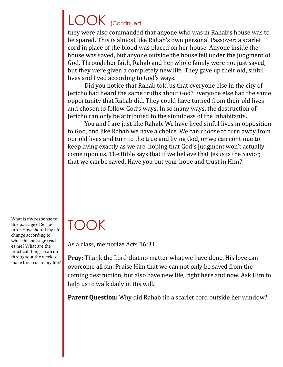# LOOK (Continued)

they were also commanded that anyone who was in Rahab's house was to be spared. This is almost like Rahab's own personal Passover: a scarlet cord in place of the blood was placed on her house. Anyone inside the house was saved, but anyone outside the house fell under the judgment of God. Through her faith, Rahab and her whole family were not just saved, but they were given a completely new life. They gave up their old, sinful lives and lived according to God's ways.

Did you notice that Rahab told us that everyone else in the city of Jericho had heard the same truths about God? Everyone else had the same opportunity that Rahab did. They could have turned from their old lives and chosen to follow God's ways. In so many ways, the destruction of Jericho can only be attributed to the sinfulness of the inhabitants.

You and I are just like Rahab. We have lived sinful lives in opposition to God, and like Rahab we have a choice. We can choose to turn away from our old lives and turn to the true and living God, or we can continue to keep living exactly as we are, hoping that God's judgment won't actually come upon us. The Bible says that if we believe that Jesus is the Savior, that we can be saved. Have you put your hope and trust in Him?

What is my response to this passage of Scripture? How should my life change according to what this passage teaches me? What are the practical things I can do throughout the week to make this true in my life?

## TOOK

As a class, memorize Acts 16:31.

**Pray:** Thank the Lord that no matter what we have done, His love can overcome all sin. Praise Him that we can not only be saved from the coming destruction, but also have new life, right here and now. Ask Him to help us to walk daily in His will.

**Parent Question:** Why did Rahab tie a scarlet cord outside her window?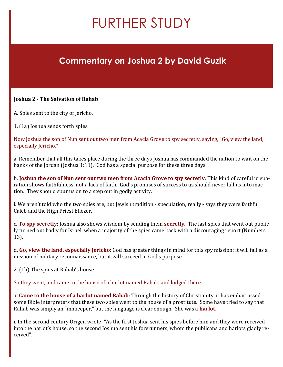# FURTHER STUDY

#### **Commentary on Joshua 2 by David Guzik**

#### **Joshua 2 - The Salvation of Rahab**

A. Spies sent to the city of Jericho.

1. (1a) Joshua sends forth spies.

Now Joshua the son of Nun sent out two men from Acacia Grove to spy secretly, saying, "Go, view the land, especially Jericho."

a. Remember that all this takes place during the three days Joshua has commanded the nation to wait on the banks of the Jordan (Joshua 1:11). God has a special purpose for these three days.

b. **Joshua the son of Nun sent out two men from Acacia Grove to spy secretly**: This kind of careful preparation shows faithfulness, not a lack of faith. God's promises of success to us should never lull us into inaction. They should spur us on to a step out in godly activity.

i. We aren't told who the two spies are, but Jewish tradition - speculation, really - says they were faithful Caleb and the High Priest Eliezer.

c. **To spy secretly**: Joshua also shows wisdom by sending them **secretly**. The last spies that went out publicly turned out badly for Israel, when a majority of the spies came back with a discouraging report (Numbers 13).

d. **Go, view the land, especially Jericho**: God has greater things in mind for this spy mission; it will fail as a mission of military reconnaissance, but it will succeed in God's purpose.

2. (1b) The spies at Rahab's house.

So they went, and came to the house of a harlot named Rahab, and lodged there.

a. **Came to the house of a harlot named Rahab**: Through the history of Christianity, it has embarrassed some Bible interpreters that these two spies went to the house of a prostitute. Some have tried to say that Rahab was simply an "innkeeper," but the language is clear enough. She was a **harlot**.

i. In the second century Origen wrote: "As the first Joshua sent his spies before him and they were received into the harlot's house, so the second Joshua sent his forerunners, whom the publicans and harlots gladly received".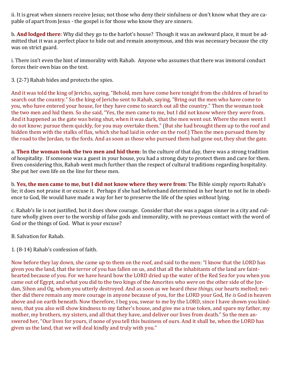ii. It is great when sinners receive Jesus; not those who deny their sinfulness or don't know what they are capable of apart from Jesus - the gospel is for those who know they are sinners.

b. **And lodged there**: Why did they go to the harlot's house? Though it was an awkward place, it must be admitted that it was a perfect place to hide out and remain anonymous, and this was necessary because the city was on strict guard.

i. There isn't even the hint of immorality with Rahab. Anyone who assumes that there was immoral conduct forces their own bias on the text.

3. (2-7) Rahab hides and protects the spies.

And it was told the king of Jericho, saying, "Behold, men have come here tonight from the children of Israel to search out the country." So the king of Jericho sent to Rahab, saying, "Bring out the men who have come to you, who have entered your house, for they have come to search out all the country." Then the woman took the two men and hid them. So she said, "Yes, the men came to me, but I did not know where they *were* from. And it happened as the gate was being shut, when it was dark, that the men went out. Where the men went I do not know; pursue them quickly, for you may overtake them." (But she had brought them up to the roof and hidden them with the stalks of flax, which she had laid in order on the roof.) Then the men pursued them by the road to the Jordan, to the fords. And as soon as those who pursued them had gone out, they shut the gate.

a. **Then the woman took the two men and hid them**: In the culture of that day, there was a strong tradition of hospitality. If someone was a guest in your house, you had a strong duty to protect them and care for them. Even considering this, Rahab went much further than the respect of cultural traditions regarding hospitality. She put her own life on the line for these men.

b. **Yes, the men came to me, but I did not know where they were from**: The Bible simply *reports* Rahab's lie; it does not praise it or excuse it. Perhaps if she had beforehand determined in her heart to not lie in obedience to God, He would have made a way for her to preserve the life of the spies *without* lying.

c. Rahab's lie is not justified, but it does show courage. Consider that she was a pagan sinner in a city and culture wholly given over to the worship of false gods and immorality, with no previous contact with the word of God or the things of God. What is your excuse?

B. Salvation for Rahab.

1. (8-14) Rahab's confession of faith.

Now before they lay down, she came up to them on the roof, and said to the men: "I know that the LORD has given you the land, that the terror of you has fallen on us, and that all the inhabitants of the land are fainthearted because of you. For we have heard how the LORD dried up the water of the Red Sea for you when you came out of Egypt, and what you did to the two kings of the Amorites who *were* on the other side of the Jordan, Sihon and Og, whom you utterly destroyed. And as soon as we heard *these things,* our hearts melted; neither did there remain any more courage in anyone because of you, for the LORD your God, He *is* God in heaven above and on earth beneath. Now therefore, I beg you, swear to me by the LORD, since I have shown you kindness, that you also will show kindness to my father's house, and give me a true token, and spare my father, my mother, my brothers, my sisters, and all that they have, and deliver our lives from death." So the men answered her, "Our lives for yours, if none of you tell this business of ours. And it shall be, when the LORD has given us the land, that we will deal kindly and truly with you."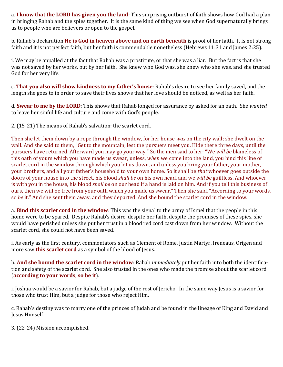a. **I know that the LORD has given you the land**: This surprising outburst of faith shows how God had a plan in bringing Rahab and the spies together. It is the same kind of thing we see when God supernaturally brings us to people who are believers or open to the gospel.

b. Rahab's declaration **He is God in heaven above and on earth beneath** is proof of her faith. It is not strong faith and it is not perfect faith, but her faith is commendable nonetheless (Hebrews 11:31 and James 2:25).

i. We may be appalled at the fact that Rahab was a prostitute, or that she was a liar. But the fact is that she was not saved by her works, but by her faith. She knew who God was, she knew who she was, and she trusted God for her very life.

c. **That you also will show kindness to my father's house**: Rahab's desire to see her family saved, and the length she goes to in order to save their lives shows that her love should be noticed, as well as her faith.

d. **Swear to me by the LORD**: This shows that Rahab longed for assurance by asked for an oath. She *wanted* to leave her sinful life and culture and come with God's people.

2. (15-21) The means of Rahab's salvation: the scarlet cord.

Then she let them down by a rope through the window, for her house *was* on the city wall; she dwelt on the wall. And she said to them, "Get to the mountain, lest the pursuers meet you. Hide there three days, until the pursuers have returned. Afterward you may go your way." So the men said to her: "We *will be* blameless of this oath of yours which you have made us swear, unless, *when* we come into the land, you bind this line of scarlet cord in the window through which you let us down, and unless you bring your father, your mother, your brothers, and all your father's household to your own home. So it shall be *that* whoever goes outside the doors of your house into the street, his blood *shall be* on his own head, and we *will be* guiltless. And whoever is with you in the house, his blood *shall be* on our head if a hand is laid on him. And if you tell this business of ours, then we will be free from your oath which you made us swear." Then she said, "According to your words, so *be* it." And she sent them away, and they departed. And she bound the scarlet cord in the window.

a. **Bind this scarlet cord in the window**: This was the signal to the army of Israel that the people in this home were to be spared. Despite Rahab's desire, despite her faith, despite the promises of these spies, she would have perished unless she put her trust in a blood red cord cast down from her window. Without the scarlet cord, she could not have been saved.

i. As early as the first century, commentators such as Clement of Rome, Justin Martyr, Ireneaus, Origen and more saw **this scarlet cord** as a symbol of the blood of Jesus.

b. **And she bound the scarlet cord in the window**: Rahab *immediately* put her faith into both the identification and safety of the scarlet cord. She also trusted in the ones who made the promise about the scarlet cord (**according to your words, so be it**).

i. Joshua would be a savior for Rahab, but a judge of the rest of Jericho. In the same way Jesus is a savior for those who trust Him, but a judge for those who reject Him.

c. Rahab's destiny was to marry one of the princes of Judah and be found in the lineage of King and David and Jesus Himself.

3. (22-24) Mission accomplished.